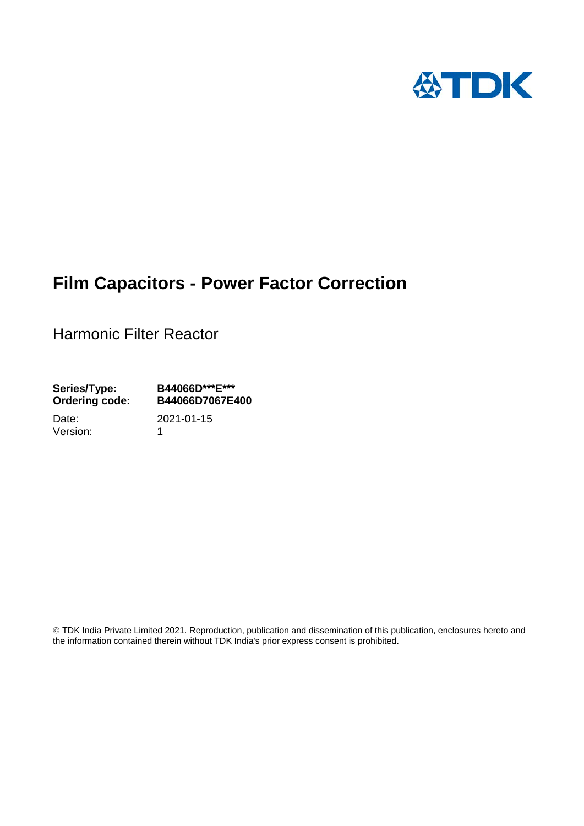

# **Film Capacitors - Power Factor Correction**

Harmonic Filter Reactor

**Series/Type: B44066D\*\*\*E\*\*\* Ordering code: B44066D7067E400**

Version: 1

Date: 2021-01-15

 TDK India Private Limited 2021. Reproduction, publication and dissemination of this publication, enclosures hereto and the information contained therein without TDK India's prior express consent is prohibited.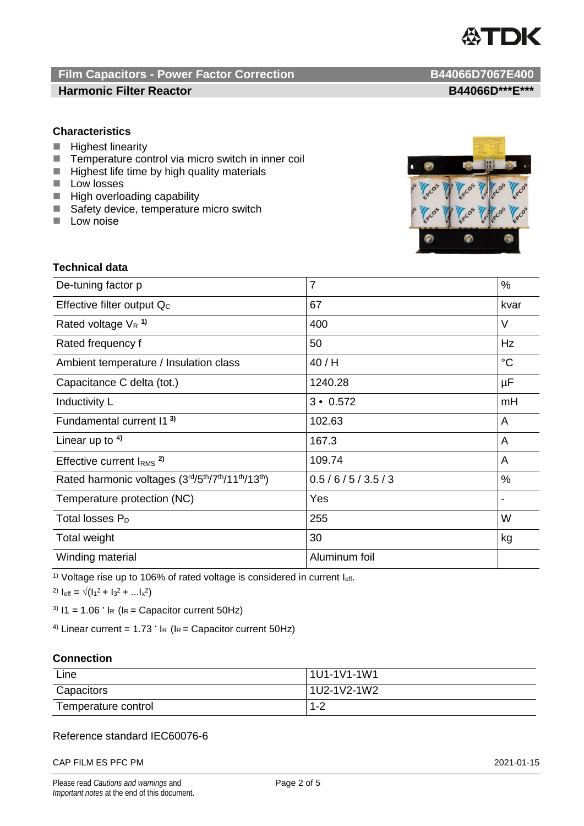

## **Film Capacitors - Power Factor Correction B44066D7067E400 Harmonic Filter Reactor B44066D\*\*\*E\*\*\***

## **Characteristics**

- **Highest linearity**
- $\blacksquare$  Temperature control via micro switch in inner coil<br> $\blacksquare$  Highest life time by high quality materials
- Highest life time by high quality materials
- **Low losses**
- **High overloading capability**
- Safety device, temperature micro switch
- $\blacksquare$  Low noise



## **Technical data**

| De-tuning factor p                              | $\overline{7}$  | $\%$            |
|-------------------------------------------------|-----------------|-----------------|
| Effective filter output Q <sub>c</sub>          | 67              | kvar            |
| Rated voltage $V_R$ <sup>1)</sup>               | 400             | V               |
| Rated frequency f                               | 50              | Hz              |
| Ambient temperature / Insulation class          | 40/H            | $\rm ^{\circ}C$ |
| Capacitance C delta (tot.)                      | 1240.28         | $\mu$ F         |
| Inductivity L                                   | $3 \cdot 0.572$ | mH              |
| Fundamental current I1 <sup>3)</sup>            | 102.63          | A               |
| Linear up to $4$ )                              | 167.3           | A               |
| Effective current $IRMS$ <sup>2)</sup>          | 109.74          | A               |
| Rated harmonic voltages (3rd/5th/7th/11th/13th) | 0.5/6/5/3.5/3   | $\%$            |
| Temperature protection (NC)                     | Yes             |                 |
| Total losses $P_D$                              | 255             | W               |
| Total weight                                    | 30              | kg              |
| Winding material                                | Aluminum foil   |                 |

<sup>1)</sup> Voltage rise up to 106% of rated voltage is considered in current leff.

2)  $I_{\text{eff}} = \sqrt{(I_1^2 + I_3^2 + ... I_x^2)}$ 

<sup>3)</sup>  $11 = 1.06$   $\cdot$  I<sub>R</sub> (I<sub>R</sub> = Capacitor current 50Hz)

<sup>4)</sup> Linear current =  $1.73$   $\cdot$  l<sub>R</sub> (l<sub>R</sub> = Capacitor current 50Hz)

## **Connection**

| Line                | 1U1-1V1-1W1 |
|---------------------|-------------|
| Capacitors          | 1U2-1V2-1W2 |
| Temperature control | $1 - 2$     |

## Reference standard IEC60076-6

CAP FILM ES PFC PM 2021-01-15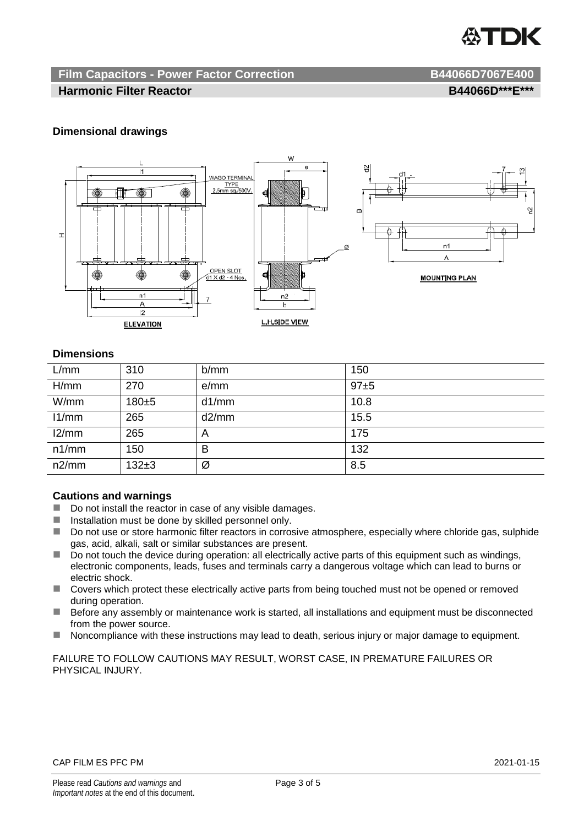

## **Film Capacitors - Power Factor Correction B44066D7067E400**

## **Harmonic Filter Reactor B44066D\*\*\*E\*\*\***

## **Dimensional drawings**



## **Dimensions**

| L/mm  | 310       | b/mm  | 150      |
|-------|-----------|-------|----------|
| H/mm  | 270       | e/mm  | $97 + 5$ |
| W/mm  | 180±5     | d1/mm | 10.8     |
| 11/mm | 265       | d2/mm | 15.5     |
| 12/mm | 265       | A     | 175      |
| n1/mm | 150       | в     | 132      |
| n2/mm | $132 + 3$ | Ø     | 8.5      |

## **Cautions and warnings**

- Do not install the reactor in case of any visible damages.
- $\blacksquare$  Installation must be done by skilled personnel only.
- Do not use or store harmonic filter reactors in corrosive atmosphere, especially where chloride gas, sulphide gas, acid, alkali, salt or similar substances are present.
- $\Box$  Do not touch the device during operation: all electrically active parts of this equipment such as windings, electronic components, leads, fuses and terminals carry a dangerous voltage which can lead to burns or electric shock.
- Covers which protect these electrically active parts from being touched must not be opened or removed during operation.
- Before any assembly or maintenance work is started, all installations and equipment must be disconnected from the power source.
- Noncompliance with these instructions may lead to death, serious injury or major damage to equipment.

FAILURE TO FOLLOW CAUTIONS MAY RESULT, WORST CASE, IN PREMATURE FAILURES OR PHYSICAL INJURY.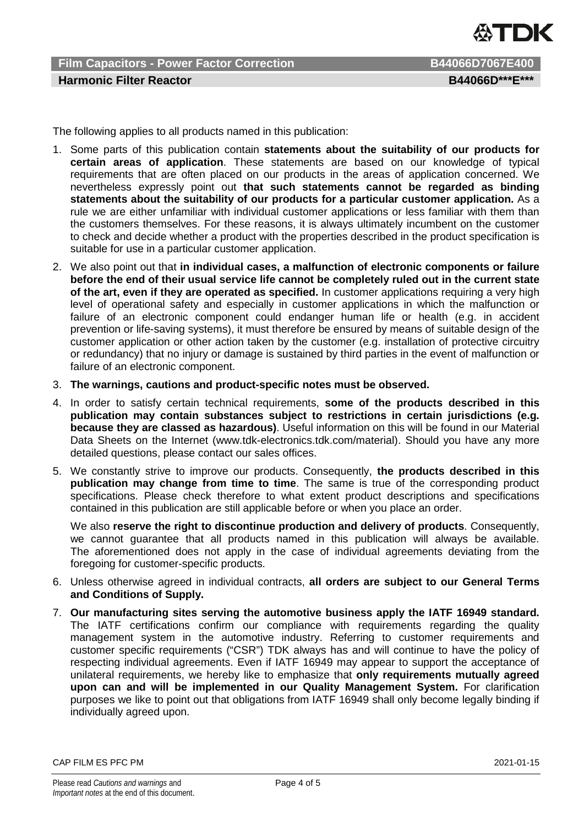

**Film Capacitors - Power Factor Correction B44066D7067E400 Harmonic Filter Reactor B44066D\*\*\*E\*\*\*** 

The following applies to all products named in this publication:

- 1. Some parts of this publication contain **statements about the suitability of our products for certain areas of application**. These statements are based on our knowledge of typical requirements that are often placed on our products in the areas of application concerned. We nevertheless expressly point out **that such statements cannot be regarded as binding statements about the suitability of our products for a particular customer application.** As a rule we are either unfamiliar with individual customer applications or less familiar with them than the customers themselves. For these reasons, it is always ultimately incumbent on the customer to check and decide whether a product with the properties described in the product specification is suitable for use in a particular customer application.
- 2. We also point out that **in individual cases, a malfunction of electronic components or failure before the end of their usual service life cannot be completely ruled out in the current state of the art, even if they are operated as specified.** In customer applications requiring a very high level of operational safety and especially in customer applications in which the malfunction or failure of an electronic component could endanger human life or health (e.g. in accident prevention or life-saving systems), it must therefore be ensured by means of suitable design of the customer application or other action taken by the customer (e.g. installation of protective circuitry or redundancy) that no injury or damage is sustained by third parties in the event of malfunction or failure of an electronic component.
- 3. **The warnings, cautions and product-specific notes must be observed.**
- 4. In order to satisfy certain technical requirements, **some of the products described in this publication may contain substances subject to restrictions in certain jurisdictions (e.g. because they are classed as hazardous)**. Useful information on this will be found in our Material Data Sheets on the Internet (www.tdk-electronics.tdk.com/material). Should you have any more detailed questions, please contact our sales offices.
- 5. We constantly strive to improve our products. Consequently, **the products described in this publication may change from time to time**. The same is true of the corresponding product specifications. Please check therefore to what extent product descriptions and specifications contained in this publication are still applicable before or when you place an order.

We also **reserve the right to discontinue production and delivery of products**. Consequently, we cannot guarantee that all products named in this publication will always be available. The aforementioned does not apply in the case of individual agreements deviating from the foregoing for customer-specific products.

- 6. Unless otherwise agreed in individual contracts, **all orders are subject to our General Terms and Conditions of Supply.**
- 7. **Our manufacturing sites serving the automotive business apply the IATF 16949 standard.** The IATF certifications confirm our compliance with requirements regarding the quality management system in the automotive industry. Referring to customer requirements and customer specific requirements ("CSR") TDK always has and will continue to have the policy of respecting individual agreements. Even if IATF 16949 may appear to support the acceptance of unilateral requirements, we hereby like to emphasize that **only requirements mutually agreed upon can and will be implemented in our Quality Management System.** For clarification purposes we like to point out that obligations from IATF 16949 shall only become legally binding if individually agreed upon.